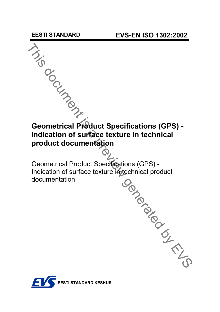

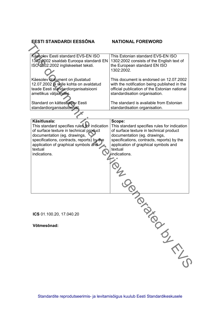| EESTI STANDARDI EESSÕNA                                                                                                                                                                                                                                  | <b>NATIONAL FOREWORD</b>                                                                                                                                                                                                                           |
|----------------------------------------------------------------------------------------------------------------------------------------------------------------------------------------------------------------------------------------------------------|----------------------------------------------------------------------------------------------------------------------------------------------------------------------------------------------------------------------------------------------------|
|                                                                                                                                                                                                                                                          |                                                                                                                                                                                                                                                    |
| Käesolev Eesti standard EVS-EN ISO<br>1302:2002 sisaldab Euroopa standardi EN<br>ISO 1302:2002 ingliskeelset teksti.                                                                                                                                     | This Estonian standard EVS-EN ISO<br>1302:2002 consists of the English text of<br>the European standard EN ISO<br>1302:2002.                                                                                                                       |
| Käesolev dokument on jõustatud<br>12.07.2002 ja selle kohta on avaldatud<br>teade Eesti standardiorganisatsiooni<br>ametlikus väljaandes.                                                                                                                | This document is endorsed on 12.07.2002<br>with the notification being published in the<br>official publication of the Estonian national<br>standardisation organisation.                                                                          |
| Standard on kättesaadav Eesti<br>standardiorganisatsioonist.                                                                                                                                                                                             | The standard is available from Estonian<br>standardisation organisation.                                                                                                                                                                           |
|                                                                                                                                                                                                                                                          |                                                                                                                                                                                                                                                    |
| Käsitlusala:<br>This standard specifies rules for indication<br>of surface texture in technical product<br>documentation (eg. drawings,<br>specifications, contracts, reports) by the<br>application of graphical symbols and<br>textual<br>indications. | Scope:<br>This standard specifies rules for indication<br>of surface texture in technical product<br>documentation (eg. drawings,<br>specifications, contracts, reports) by the<br>application of graphical symbols and<br>textual<br>indications. |
|                                                                                                                                                                                                                                                          | in Con                                                                                                                                                                                                                                             |
| ICS 01.100.20, 17.040.20                                                                                                                                                                                                                                 |                                                                                                                                                                                                                                                    |
|                                                                                                                                                                                                                                                          |                                                                                                                                                                                                                                                    |
| Võtmesõnad:                                                                                                                                                                                                                                              | in British                                                                                                                                                                                                                                         |
|                                                                                                                                                                                                                                                          |                                                                                                                                                                                                                                                    |
|                                                                                                                                                                                                                                                          |                                                                                                                                                                                                                                                    |
|                                                                                                                                                                                                                                                          |                                                                                                                                                                                                                                                    |

Standardite reprodutseerimis- ja levitamisõigus kuulub Eesti Standardikeskusele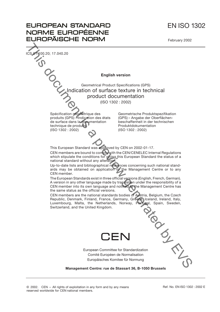# EN ISO 1302

February 2002



**EUROPEAN STANDARD** NORME EUROPÉENNE **EUROPÄISCHE NORM**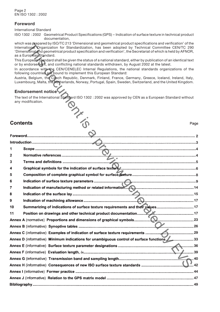### **Foreword**

International Standard

ISO 1302 : 2002 Geometrical Product Specifications (GPS) – Indication of surface texture in technical product documentation,

which was prepared by ISO/TC 213 'Dimensional and geometrical product specifications and verification' of the International Organization for Standardization, has been adopted by Technical Committee CEN/TC 290 'Dimensional and geometrical product specification and verification', the Secretariat of which is held by AFNOR, as a European Standard.

## **Endorsement notice**

|                | which was prepared by ISO/IC 213 'Dimensional and geometrical product specifications and verification' of the<br>International Organization for Standardization, has been adopted by Technical Committee CEN/TC 290    |
|----------------|------------------------------------------------------------------------------------------------------------------------------------------------------------------------------------------------------------------------|
|                | 'Dimensional and geometrical product specification and verification', the Secretariat of which is held by AFNOR,                                                                                                       |
|                | as a European Standard.<br>This European Standard shall be given the status of a national standard, either by publication of an identical text                                                                         |
|                | or by endorsement, and conflicting national standards withdrawn, by August 2002 at the latest.                                                                                                                         |
|                | In accordance with the CEN/CENELEC Internal Regulations, the national standards organizations of the<br>following countries are bound to implement this European Standard:                                             |
|                | Austria, Belgium, the Czech Republic, Denmark, Finland, France, Germany, Greece, Iceland, Ireland, Italy,<br>Luxembourg, Malta, the Netherlands, Norway, Portugal, Spain, Sweden, Switzerland, and the United Kingdom. |
|                | Endorsement notice                                                                                                                                                                                                     |
|                | The text of the International Standard ISO 1302 : 2002 was approved by CEN as a European Standard without<br>any modification.<br><b>ARKING</b>                                                                        |
| Contents       | Page                                                                                                                                                                                                                   |
|                |                                                                                                                                                                                                                        |
|                |                                                                                                                                                                                                                        |
|                |                                                                                                                                                                                                                        |
| 1              |                                                                                                                                                                                                                        |
| 2              |                                                                                                                                                                                                                        |
| 3              |                                                                                                                                                                                                                        |
| 4              |                                                                                                                                                                                                                        |
| 5              |                                                                                                                                                                                                                        |
| 6              |                                                                                                                                                                                                                        |
| $\overline{7}$ |                                                                                                                                                                                                                        |
| 8              |                                                                                                                                                                                                                        |
| 9              |                                                                                                                                                                                                                        |
| 10             | Summarizing of indications of surface texture requirements and their values17                                                                                                                                          |
| 11             |                                                                                                                                                                                                                        |
|                |                                                                                                                                                                                                                        |
|                |                                                                                                                                                                                                                        |
|                |                                                                                                                                                                                                                        |
|                |                                                                                                                                                                                                                        |
|                |                                                                                                                                                                                                                        |
|                | 1. 2. 2. 2. 2. 2. 2. 39                                                                                                                                                                                                |
|                |                                                                                                                                                                                                                        |
|                | Annex H (informative) Consequences of new ISO surface texture standards ………………………………………………………………………<br>$\mathbf{M}$ .42                                                                                                |
|                |                                                                                                                                                                                                                        |
|                |                                                                                                                                                                                                                        |
|                |                                                                                                                                                                                                                        |
|                |                                                                                                                                                                                                                        |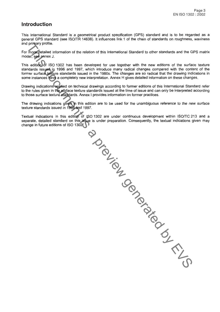## **Introduction**

This International Standard is a geometrical product specification (GPS) standard and is to be regarded as a general GPS standard (see ISO/TR 14638). It influences link 1 of the chain of standards on roughness, waviness

and principal information of the relation of this international Standard to other standards and the GPS matical<br>root for the series of the contribution of the relation of this international Standard to cher scheme generate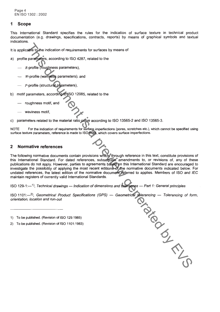### 1 **Scope**

This International Standard specifies the rules for the indication of surface texture in technical product documentation (e.g. drawings, specifications, contracts, reports) by means of graphical symbols and textual indications.

- -
	-
	-
- -
	-

 $\mathbf{C}$ 

**NOTE** 

### $\overline{2}$

It is applicable in the indication of requirements for surfaces by means of<br>
a) profile promption and the conomic to requirements of the time<br>  $\therefore$  R-profile (working the spannetees), and<br>  $\therefore$  Profile (working paramete

- 
-